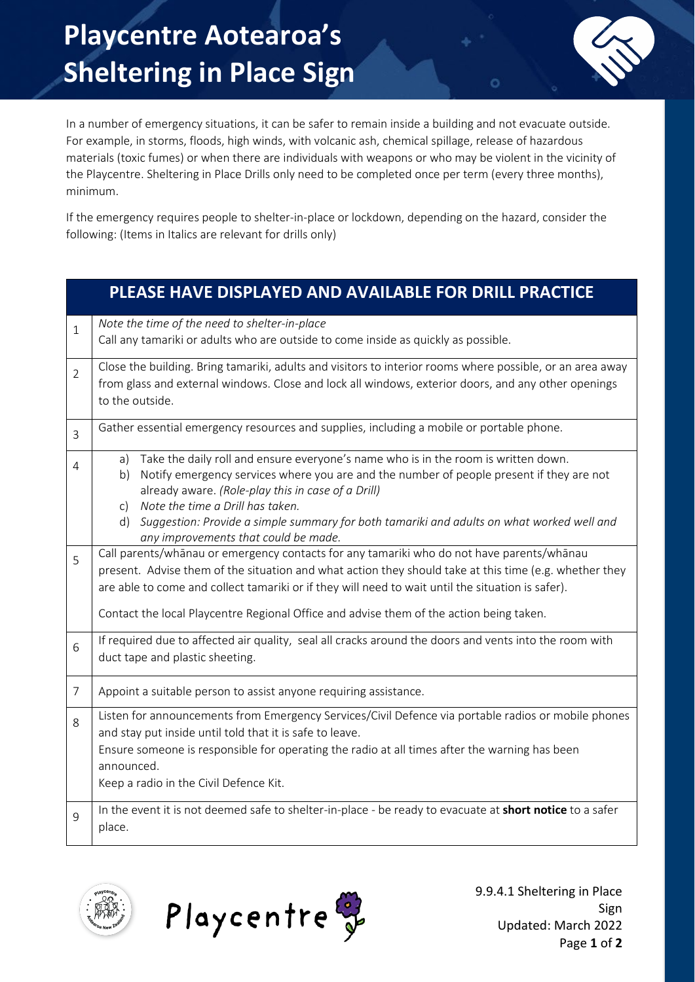

In a number of emergency situations, it can be safer to remain inside a building and not evacuate outside. For example, in storms, floods, high winds, with volcanic ash, chemical spillage, release of hazardous materials (toxic fumes) or when there are individuals with weapons or who may be violent in the vicinity of the Playcentre. Sheltering in Place Drills only need to be completed once per term (every three months), minimum.

If the emergency requires people to shelter-in-place or lockdown, depending on the hazard, consider the following: (Items in Italics are relevant for drills only)

|                | PLEASE HAVE DISPLAYED AND AVAILABLE FOR DRILL PRACTICE                                                                                                                                                                                                                                                                                                                                                                             |  |  |
|----------------|------------------------------------------------------------------------------------------------------------------------------------------------------------------------------------------------------------------------------------------------------------------------------------------------------------------------------------------------------------------------------------------------------------------------------------|--|--|
| $\mathbf{1}$   | Note the time of the need to shelter-in-place<br>Call any tamariki or adults who are outside to come inside as quickly as possible.                                                                                                                                                                                                                                                                                                |  |  |
| $\overline{2}$ | Close the building. Bring tamariki, adults and visitors to interior rooms where possible, or an area away<br>from glass and external windows. Close and lock all windows, exterior doors, and any other openings<br>to the outside.                                                                                                                                                                                                |  |  |
| 3              | Gather essential emergency resources and supplies, including a mobile or portable phone.                                                                                                                                                                                                                                                                                                                                           |  |  |
| 4              | Take the daily roll and ensure everyone's name who is in the room is written down.<br>a)<br>Notify emergency services where you are and the number of people present if they are not<br>b)<br>already aware. (Role-play this in case of a Drill)<br>Note the time a Drill has taken.<br>C)<br>d) Suggestion: Provide a simple summary for both tamariki and adults on what worked well and<br>any improvements that could be made. |  |  |
| 5              | Call parents/whānau or emergency contacts for any tamariki who do not have parents/whānau<br>present. Advise them of the situation and what action they should take at this time (e.g. whether they<br>are able to come and collect tamariki or if they will need to wait until the situation is safer).<br>Contact the local Playcentre Regional Office and advise them of the action being taken.                                |  |  |
| 6              | If required due to affected air quality, seal all cracks around the doors and vents into the room with<br>duct tape and plastic sheeting.                                                                                                                                                                                                                                                                                          |  |  |
| $\overline{7}$ | Appoint a suitable person to assist anyone requiring assistance.                                                                                                                                                                                                                                                                                                                                                                   |  |  |
| 8              | Listen for announcements from Emergency Services/Civil Defence via portable radios or mobile phones<br>and stay put inside until told that it is safe to leave.<br>Ensure someone is responsible for operating the radio at all times after the warning has been<br>announced.<br>Keep a radio in the Civil Defence Kit.                                                                                                           |  |  |
| 9              | In the event it is not deemed safe to shelter-in-place - be ready to evacuate at short notice to a safer<br>place.                                                                                                                                                                                                                                                                                                                 |  |  |